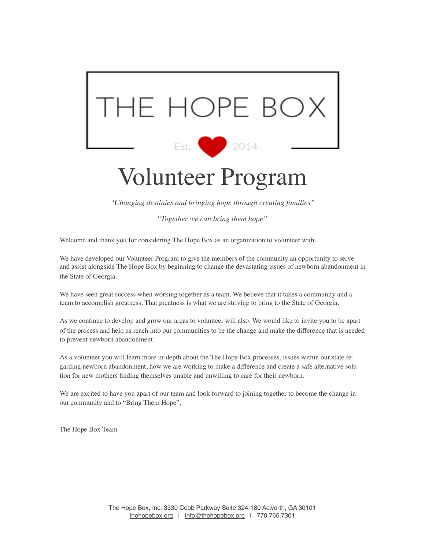

*"Changing destinies and bringing hope through creating families"*

*"Together we can bring them hope"*

Welcome and thank you for considering The Hope Box as an organization to volunteer with.

We have developed our Volunteer Program to give the members of the community an opportunity to serve and assist alongside The Hope Box by beginning to change the devastating issues of newborn abandonment in the State of Georgia.

We have seen great success when working together as a team. We believe that it takes a community and a team to accomplish greatness. That greatness is what we are striving to bring to the State of Georgia.

As we continue to develop and grow our areas to volunteer will also. We would like to invite you to be apart of the process and help us reach into our communities to be the change and make the difference that is needed to prevent newborn abandonment.

As a volunteer you will learn more in-depth about the The Hope Box processes, issues within our state regarding newborn abandonment, how we are working to make a difference and create a safe alternative solution for new mothers finding themselves unable and unwilling to care for their newborn.

We are excited to have you apart of our team and look forward to joining together to become the change in our community and to "Bring Them Hope".

The Hope Box Team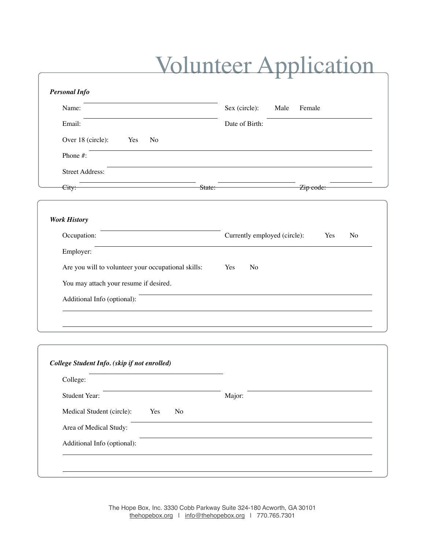## Volunteer Application

|                                                     | ┻.<br><b>A</b>                                        |  |  |  |  |  |
|-----------------------------------------------------|-------------------------------------------------------|--|--|--|--|--|
| <b>Personal Info</b>                                |                                                       |  |  |  |  |  |
| Name:                                               | Sex (circle):<br>Male<br>Female                       |  |  |  |  |  |
| Email:                                              | Date of Birth:                                        |  |  |  |  |  |
| Over 18 (circle):<br>Yes<br>No                      |                                                       |  |  |  |  |  |
| Phone #:                                            |                                                       |  |  |  |  |  |
| <b>Street Address:</b>                              |                                                       |  |  |  |  |  |
| State:<br>City:                                     | Zip code:                                             |  |  |  |  |  |
|                                                     |                                                       |  |  |  |  |  |
| <b>Work History</b>                                 |                                                       |  |  |  |  |  |
| Occupation:                                         | Currently employed (circle):<br>N <sub>o</sub><br>Yes |  |  |  |  |  |
| Employer:                                           |                                                       |  |  |  |  |  |
| Are you will to volunteer your occupational skills: | Yes<br>No                                             |  |  |  |  |  |
| You may attach your resume if desired.              |                                                       |  |  |  |  |  |
| Additional Info (optional):                         |                                                       |  |  |  |  |  |
|                                                     |                                                       |  |  |  |  |  |
|                                                     |                                                       |  |  |  |  |  |
| College Student Info. (skip if not enrolled)        |                                                       |  |  |  |  |  |
| College:                                            |                                                       |  |  |  |  |  |
| Student Year:                                       | Major:                                                |  |  |  |  |  |
| Medical Student (circle):<br>Yes<br>N <sub>o</sub>  |                                                       |  |  |  |  |  |
|                                                     |                                                       |  |  |  |  |  |

Area of Medical Study: Additional Info (optional):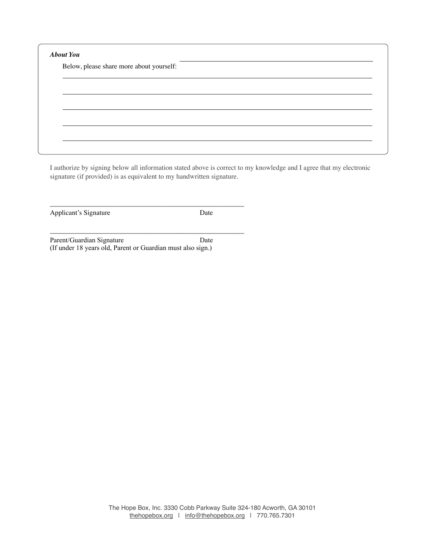| Below, please share more about yourself: |  |  |  |  |  |  |
|------------------------------------------|--|--|--|--|--|--|
|                                          |  |  |  |  |  |  |
|                                          |  |  |  |  |  |  |
|                                          |  |  |  |  |  |  |
|                                          |  |  |  |  |  |  |
|                                          |  |  |  |  |  |  |

I authorize by signing below all information stated above is correct to my knowledge and I agree that my electronic signature (if provided) is as equivalent to my handwritten signature.

Applicant's Signature Date

Parent/Guardian Signature Date (If under 18 years old, Parent or Guardian must also sign.)

\_\_\_\_\_\_\_\_\_\_\_\_\_\_\_\_\_\_\_\_\_\_\_\_\_\_\_\_\_\_\_\_\_\_\_\_\_\_\_\_\_\_\_\_\_\_\_\_\_\_\_\_\_\_\_\_

\_\_\_\_\_\_\_\_\_\_\_\_\_\_\_\_\_\_\_\_\_\_\_\_\_\_\_\_\_\_\_\_\_\_\_\_\_\_\_\_\_\_\_\_\_\_\_\_\_\_\_\_\_\_\_\_